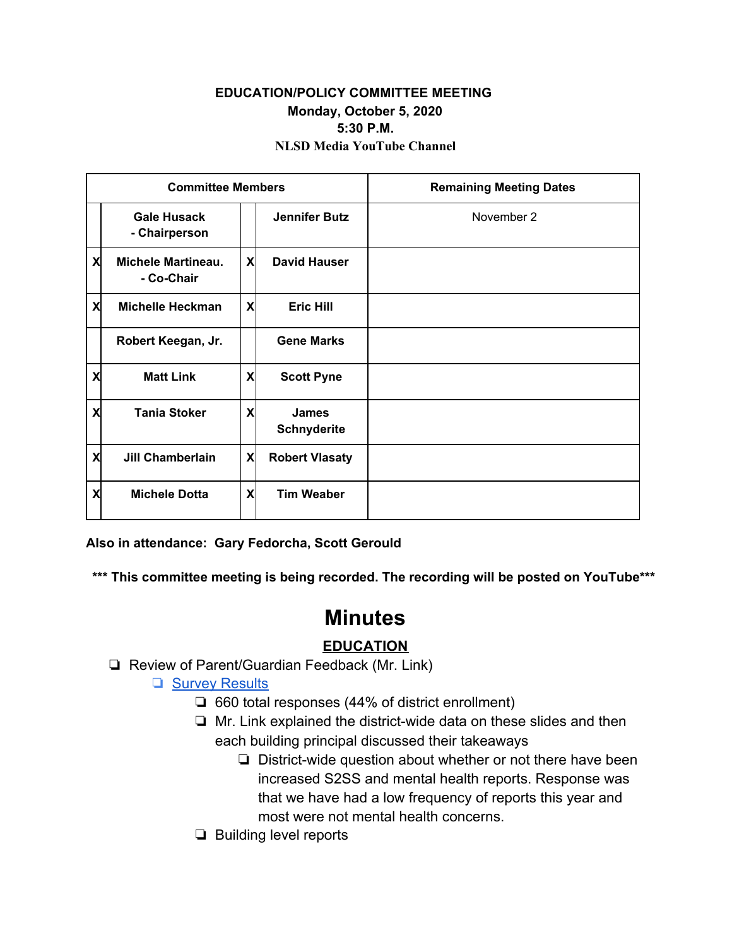### **EDUCATION/POLICY COMMITTEE MEETING Monday, October 5, 2020 5:30 P.M. NLSD Media YouTube Channel**

| <b>Committee Members</b> |                                         |                           |                                    | <b>Remaining Meeting Dates</b> |
|--------------------------|-----------------------------------------|---------------------------|------------------------------------|--------------------------------|
|                          | <b>Gale Husack</b><br>- Chairperson     |                           | <b>Jennifer Butz</b>               | November 2                     |
| X                        | <b>Michele Martineau.</b><br>- Co-Chair | X                         | <b>David Hauser</b>                |                                |
| X                        | <b>Michelle Heckman</b>                 | X                         | <b>Eric Hill</b>                   |                                |
|                          | Robert Keegan, Jr.                      |                           | <b>Gene Marks</b>                  |                                |
| X                        | <b>Matt Link</b>                        | X                         | <b>Scott Pyne</b>                  |                                |
| X                        | <b>Tania Stoker</b>                     | X                         | <b>James</b><br><b>Schnyderite</b> |                                |
| X                        | <b>Jill Chamberlain</b>                 | $\boldsymbol{\mathsf{x}}$ | <b>Robert Vlasaty</b>              |                                |
| X                        | <b>Michele Dotta</b>                    | X                         | <b>Tim Weaber</b>                  |                                |

**Also in attendance: Gary Fedorcha, Scott Gerould**

**\*\*\* This committee meeting is being recorded. The recording will be posted on YouTube\*\*\***

# **Minutes**

## **EDUCATION**

❏ Review of Parent/Guardian Feedback (Mr. Link)

### ❏ [Survey Results](https://docs.google.com/presentation/d/1N71gZnwnFZpsYbgZeKg0hqX_1O53sqkf2bl5QjQkqY8/edit?usp=sharing)

- ❏ 660 total responses (44% of district enrollment)
- ❏ Mr. Link explained the district-wide data on these slides and then each building principal discussed their takeaways
	- ❏ District-wide question about whether or not there have been increased S2SS and mental health reports. Response was that we have had a low frequency of reports this year and most were not mental health concerns.
- ❏ Building level reports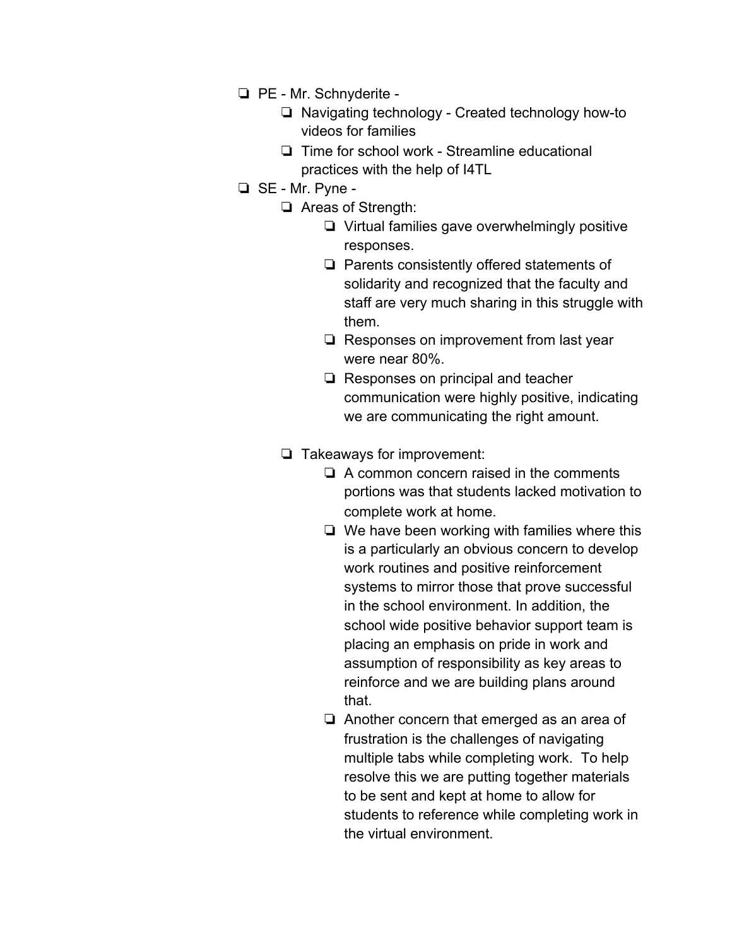- ❏ PE Mr. Schnyderite
	- ❏ Navigating technology Created technology how-to videos for families
	- ❏ Time for school work Streamline educational practices with the help of I4TL
- ❏ SE Mr. Pyne
	- ❏ Areas of Strength:
		- ❏ Virtual families gave overwhelmingly positive responses.
		- ❏ Parents consistently offered statements of solidarity and recognized that the faculty and staff are very much sharing in this struggle with them.
		- ❏ Responses on improvement from last year were near 80%.
		- ❏ Responses on principal and teacher communication were highly positive, indicating we are communicating the right amount.
	- ❏ Takeaways for improvement:
		- ❏ A common concern raised in the comments portions was that students lacked motivation to complete work at home.
		- ❏ We have been working with families where this is a particularly an obvious concern to develop work routines and positive reinforcement systems to mirror those that prove successful in the school environment. In addition, the school wide positive behavior support team is placing an emphasis on pride in work and assumption of responsibility as key areas to reinforce and we are building plans around that.
		- ❏ Another concern that emerged as an area of frustration is the challenges of navigating multiple tabs while completing work. To help resolve this we are putting together materials to be sent and kept at home to allow for students to reference while completing work in the virtual environment.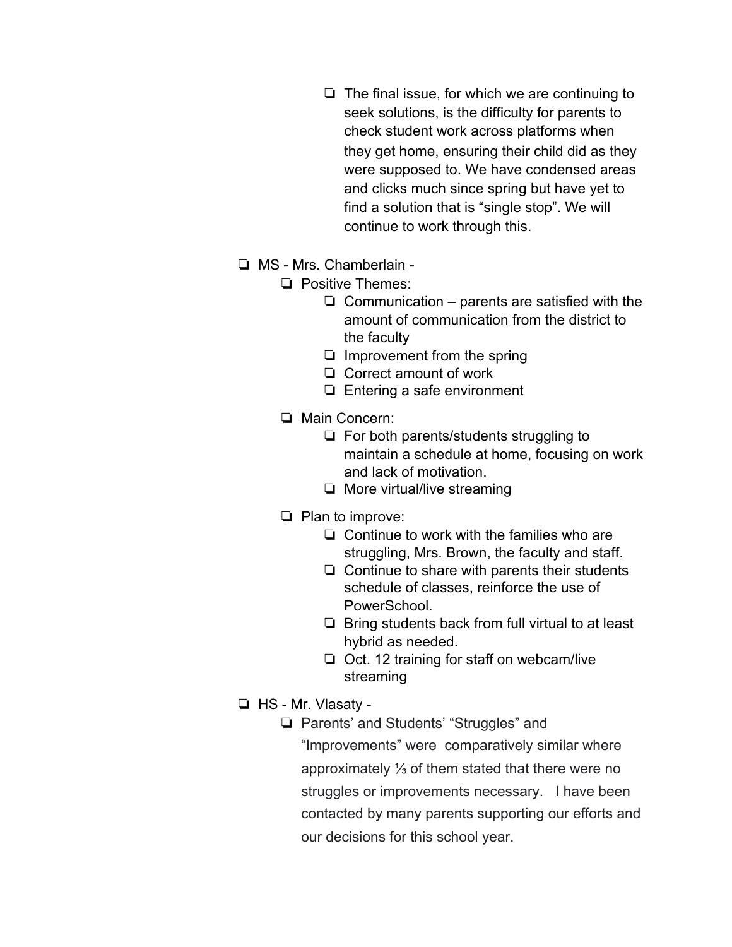- ❏ The final issue, for which we are continuing to seek solutions, is the difficulty for parents to check student work across platforms when they get home, ensuring their child did as they were supposed to. We have condensed areas and clicks much since spring but have yet to find a solution that is "single stop". We will continue to work through this.
- ❏ MS Mrs. Chamberlain
	- ❏ Positive Themes:
		- $\Box$  Communication parents are satisfied with the amount of communication from the district to the faculty
		- ❏ Improvement from the spring
		- ❏ Correct amount of work
		- ❏ Entering a safe environment
	- ❏ Main Concern:
		- ❏ For both parents/students struggling to maintain a schedule at home, focusing on work and lack of motivation.
		- ❏ More virtual/live streaming
	- ❏ Plan to improve:
		- ❏ Continue to work with the families who are struggling, Mrs. Brown, the faculty and staff.
		- ❏ Continue to share with parents their students schedule of classes, reinforce the use of PowerSchool.
		- ❏ Bring students back from full virtual to at least hybrid as needed.
		- ❏ Oct. 12 training for staff on webcam/live streaming
- ❏ HS Mr. Vlasaty
	- ❏ Parents' and Students' "Struggles" and "Improvements" were comparatively similar where approximately ⅓ of them stated that there were no struggles or improvements necessary. I have been contacted by many parents supporting our efforts and our decisions for this school year.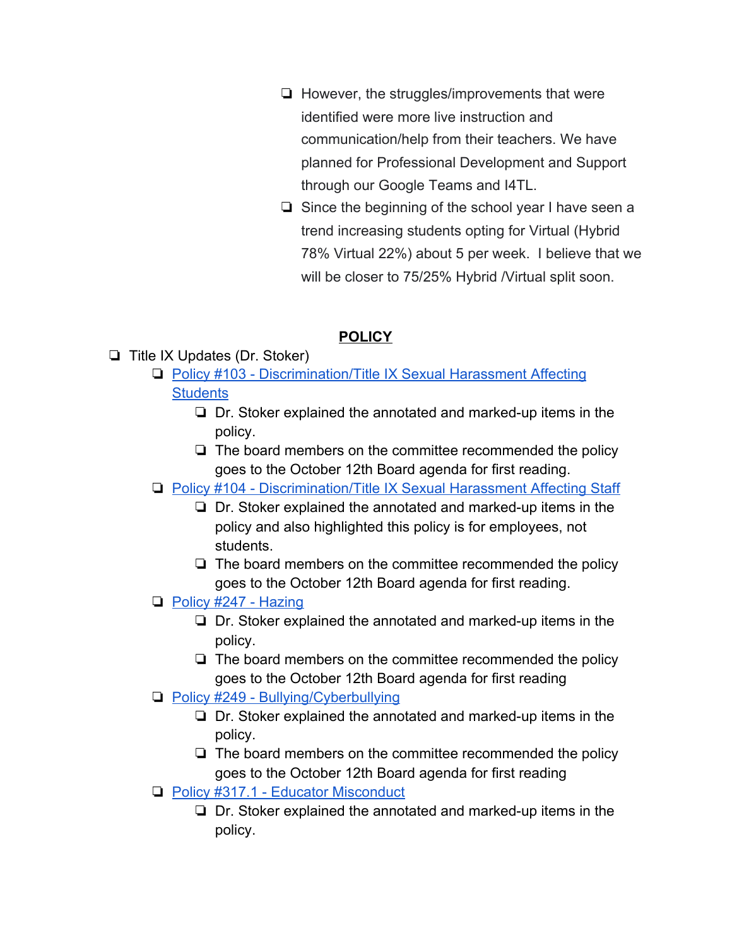- ❏ However, the struggles/improvements that were identified were more live instruction and communication/help from their teachers. We have planned for Professional Development and Support through our Google Teams and I4TL.
- ❏ Since the beginning of the school year I have seen a trend increasing students opting for Virtual (Hybrid 78% Virtual 22%) about 5 per week. I believe that we will be closer to 75/25% Hybrid / Virtual split soon.

## **POLICY**

- ❏ Title IX Updates (Dr. Stoker)
	- ❏ [Policy #103 Discrimination/Title IX Sexual Harassment Affecting](https://docs.google.com/document/d/1mqRYiYMaTqJuSJXQ7yIH9SipsQDGRSNum8oBALb9f7E/edit?usp=sharing) **[Students](https://docs.google.com/document/d/1mqRYiYMaTqJuSJXQ7yIH9SipsQDGRSNum8oBALb9f7E/edit?usp=sharing)** 
		- ❏ Dr. Stoker explained the annotated and marked-up items in the policy.
		- ❏ The board members on the committee recommended the policy goes to the October 12th Board agenda for first reading.
	- ❏ [Policy #104 Discrimination/Title IX Sexual Harassment Affecting Staff](https://docs.google.com/document/d/1z3CFnIvDOs22OEcrfZF-lcL38R78RTvvxoRBgaakCaI/edit?usp=sharing)
		- ❏ Dr. Stoker explained the annotated and marked-up items in the policy and also highlighted this policy is for employees, not students.
		- ❏ The board members on the committee recommended the policy goes to the October 12th Board agenda for first reading.
	- ❏ [Policy #247 Hazing](https://docs.google.com/document/d/1x--f_aW8jf0pL9Yrgh3NtsYMaGdseS1EDzIQTH8xd8E/edit)
		- ❏ Dr. Stoker explained the annotated and marked-up items in the policy.
		- ❏ The board members on the committee recommended the policy goes to the October 12th Board agenda for first reading
	- ❏ [Policy #249 Bullying/Cyberbullying](https://docs.google.com/document/d/1sZ6jams_H426uJoa4pcQMJ0snJ87Swl4sVYezgk2B4s/edit?usp=sharing)
		- ❏ Dr. Stoker explained the annotated and marked-up items in the policy.
		- ❏ The board members on the committee recommended the policy goes to the October 12th Board agenda for first reading
	- ❏ [Policy #317.1 Educator Misconduct](https://docs.google.com/document/d/1yh4OKQzUd8rQxhEajkJJrr26XCAo8jQsryOyJvXAPZk/edit)
		- ❏ Dr. Stoker explained the annotated and marked-up items in the policy.